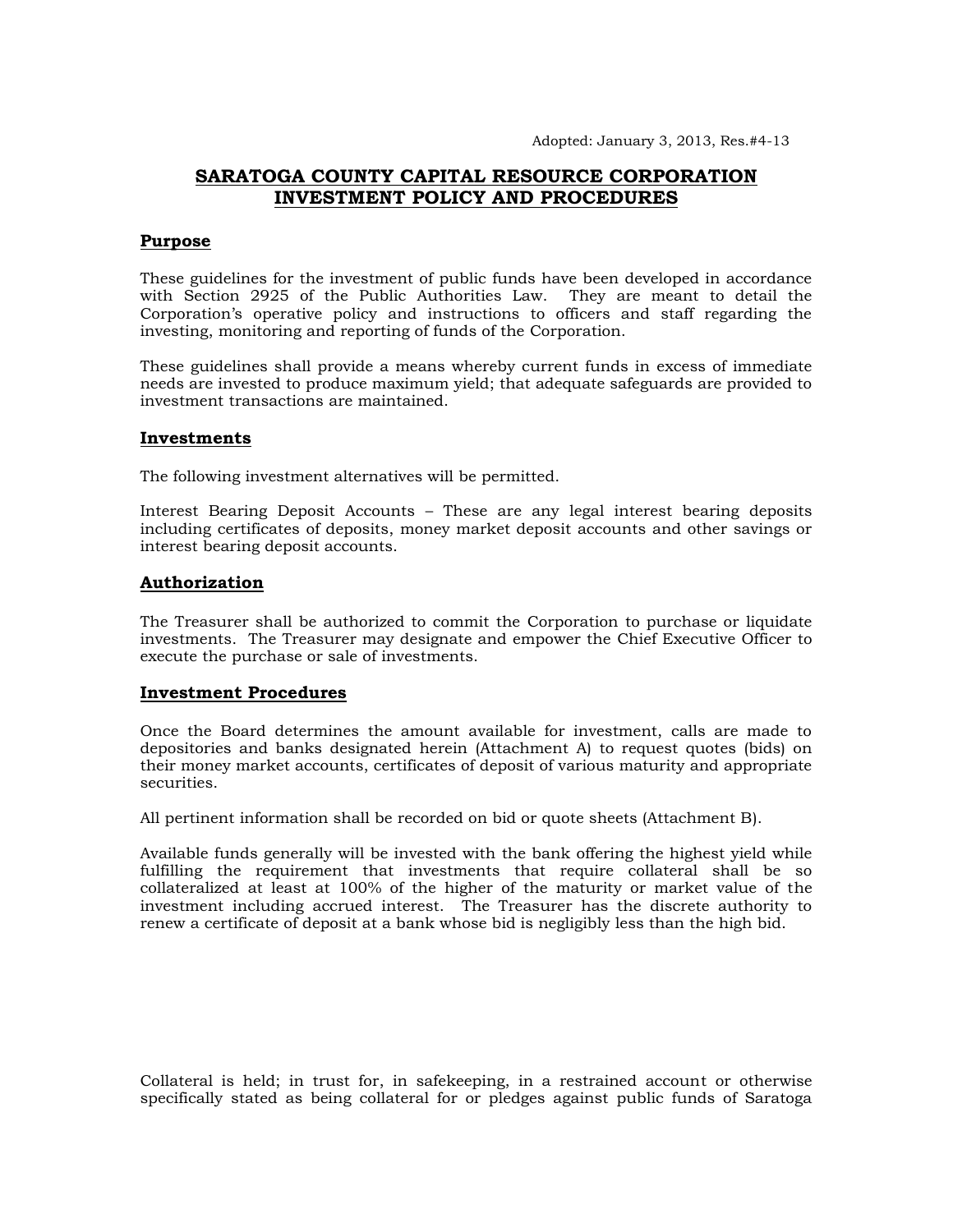Adopted: January 3, 2013, Res.#4-13

## **SARATOGA COUNTY CAPITAL RESOURCE CORPORATION INVESTMENT POLICY AND PROCEDURES**

#### **Purpose**

These guidelines for the investment of public funds have been developed in accordance with Section 2925 of the Public Authorities Law. They are meant to detail the Corporation's operative policy and instructions to officers and staff regarding the investing, monitoring and reporting of funds of the Corporation.

These guidelines shall provide a means whereby current funds in excess of immediate needs are invested to produce maximum yield; that adequate safeguards are provided to investment transactions are maintained.

#### **Investments**

The following investment alternatives will be permitted.

Interest Bearing Deposit Accounts – These are any legal interest bearing deposits including certificates of deposits, money market deposit accounts and other savings or interest bearing deposit accounts.

#### **Authorization**

The Treasurer shall be authorized to commit the Corporation to purchase or liquidate investments. The Treasurer may designate and empower the Chief Executive Officer to execute the purchase or sale of investments.

#### **Investment Procedures**

Once the Board determines the amount available for investment, calls are made to depositories and banks designated herein (Attachment A) to request quotes (bids) on their money market accounts, certificates of deposit of various maturity and appropriate securities.

All pertinent information shall be recorded on bid or quote sheets (Attachment B).

Available funds generally will be invested with the bank offering the highest yield while fulfilling the requirement that investments that require collateral shall be so collateralized at least at 100% of the higher of the maturity or market value of the investment including accrued interest. The Treasurer has the discrete authority to renew a certificate of deposit at a bank whose bid is negligibly less than the high bid.

Collateral is held; in trust for, in safekeeping, in a restrained account or otherwise specifically stated as being collateral for or pledges against public funds of Saratoga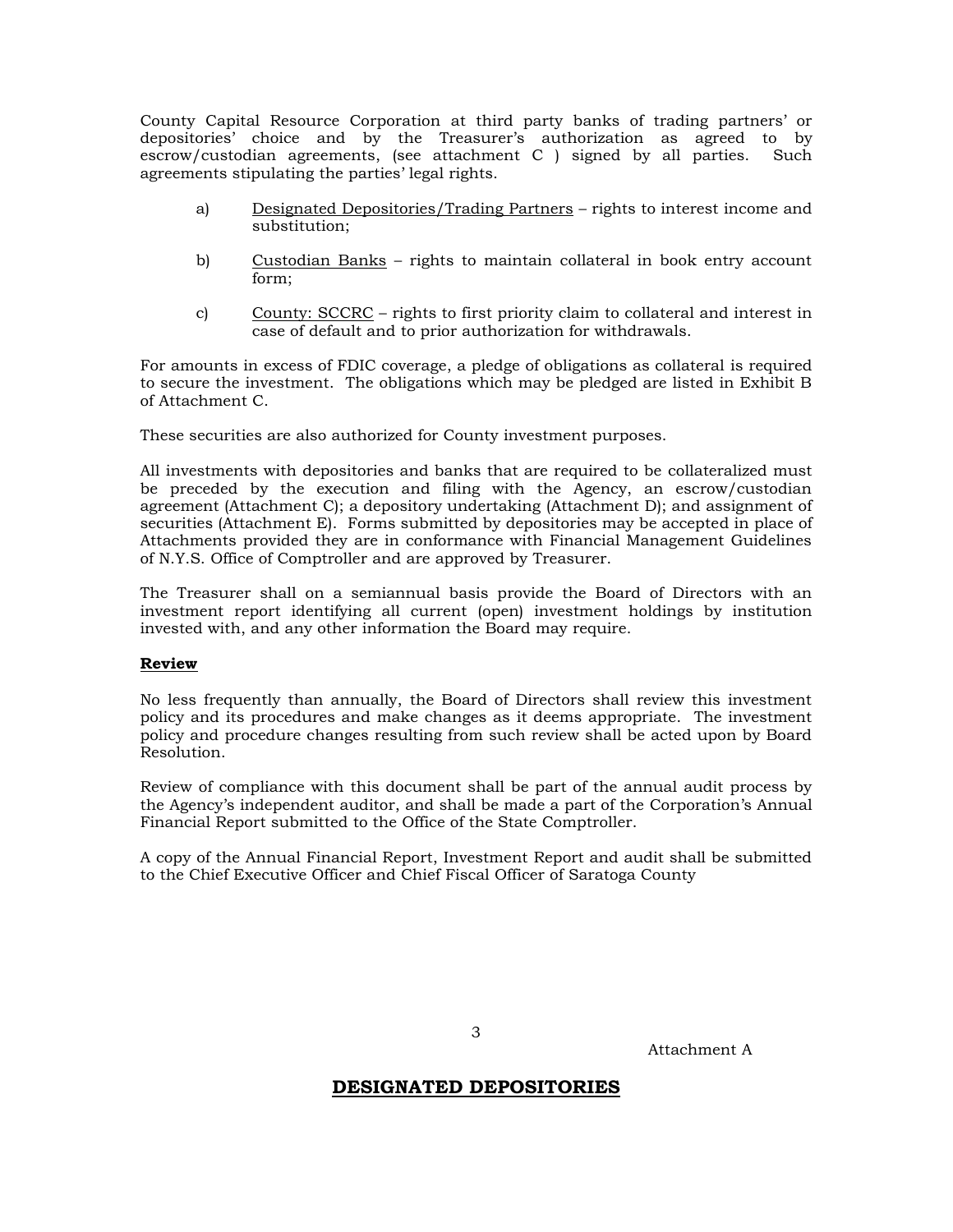County Capital Resource Corporation at third party banks of trading partners' or depositories' choice and by the Treasurer's authorization as agreed to by escrow/custodian agreements, (see attachment C ) signed by all parties. Such agreements stipulating the parties' legal rights.

- a) Designated Depositories/Trading Partners rights to interest income and substitution;
- b) Custodian Banks rights to maintain collateral in book entry account form;
- c) County: SCCRC rights to first priority claim to collateral and interest in case of default and to prior authorization for withdrawals.

For amounts in excess of FDIC coverage, a pledge of obligations as collateral is required to secure the investment. The obligations which may be pledged are listed in Exhibit B of Attachment C.

These securities are also authorized for County investment purposes.

All investments with depositories and banks that are required to be collateralized must be preceded by the execution and filing with the Agency, an escrow/custodian agreement (Attachment C); a depository undertaking (Attachment D); and assignment of securities (Attachment E). Forms submitted by depositories may be accepted in place of Attachments provided they are in conformance with Financial Management Guidelines of N.Y.S. Office of Comptroller and are approved by Treasurer.

The Treasurer shall on a semiannual basis provide the Board of Directors with an investment report identifying all current (open) investment holdings by institution invested with, and any other information the Board may require.

#### **Review**

No less frequently than annually, the Board of Directors shall review this investment policy and its procedures and make changes as it deems appropriate. The investment policy and procedure changes resulting from such review shall be acted upon by Board Resolution.

Review of compliance with this document shall be part of the annual audit process by the Agency's independent auditor, and shall be made a part of the Corporation's Annual Financial Report submitted to the Office of the State Comptroller.

A copy of the Annual Financial Report, Investment Report and audit shall be submitted to the Chief Executive Officer and Chief Fiscal Officer of Saratoga County

Attachment A

### **DESIGNATED DEPOSITORIES**